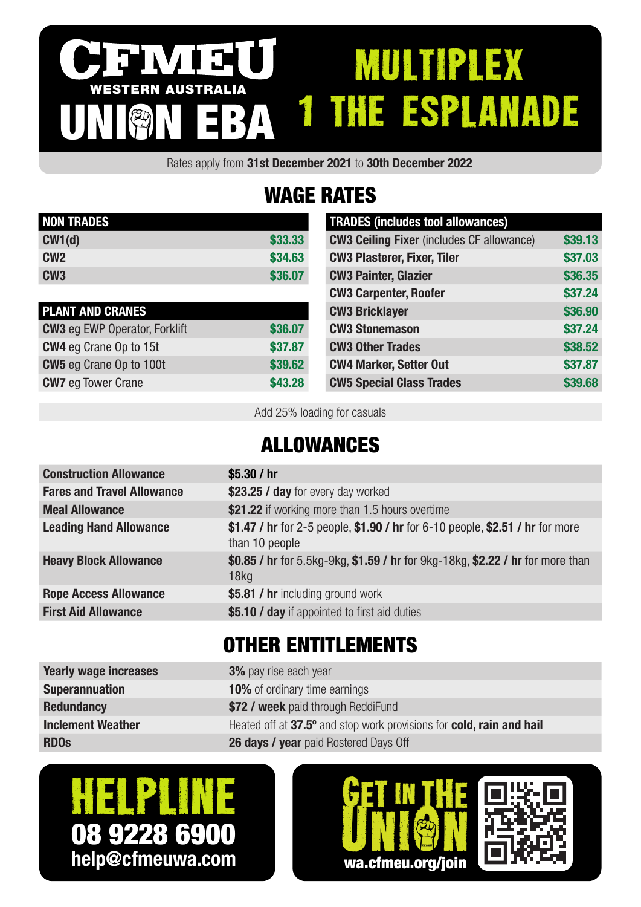#### IV I SI multiplex WESTERN AUSTRALIA 1 THE ESPLANADE UNION EBA

Rates apply from 31st December 2021 to 30th December 2022

## WAGE RATES

| <b>NON TRADES</b> |         |
|-------------------|---------|
| CW1(d)            | \$33.33 |
| CM2               | \$34.63 |
| CW <sub>3</sub>   | \$36,07 |

| <b>PLANT AND CRANES</b>              |         |
|--------------------------------------|---------|
| <b>CW3</b> eg EWP Operator, Forklift | \$36.07 |
| <b>CW4</b> eg Crane Op to 15t        | \$37.87 |
| <b>CW5</b> eg Crane Op to 100t       | \$39.62 |
| <b>CW7</b> eg Tower Crane            | \$43.28 |

| <b>TRADES (includes tool allowances)</b>         |         |
|--------------------------------------------------|---------|
| <b>CW3 Ceiling Fixer</b> (includes CF allowance) | \$39.13 |
| <b>CW3 Plasterer, Fixer, Tiler</b>               | \$37.03 |
| <b>CW3 Painter, Glazier</b>                      | \$36.35 |
| <b>CW3 Carpenter, Roofer</b>                     | \$37.24 |
| <b>CW3 Bricklayer</b>                            | \$36.90 |
| <b>CW3 Stonemason</b>                            | \$37.24 |
| <b>CW3 Other Trades</b>                          | \$38.52 |
| <b>CW4 Marker, Setter Out</b>                    | \$37.87 |
| <b>CW5 Special Class Trades</b>                  | \$39,68 |

Add 25% loading for casuals

### ALLOWANCES

| <b>Construction Allowance</b>     | \$5.30 $/$ hr                                                                                      |
|-----------------------------------|----------------------------------------------------------------------------------------------------|
| <b>Fares and Travel Allowance</b> | \$23.25 / day for every day worked                                                                 |
| <b>Meal Allowance</b>             | \$21.22 if working more than 1.5 hours overtime                                                    |
| <b>Leading Hand Allowance</b>     | \$1.47 / hr for 2-5 people, \$1.90 / hr for 6-10 people, \$2.51 / hr for more<br>than 10 people    |
| <b>Heavy Block Allowance</b>      | \$0.85 / hr for 5.5kg-9kg, \$1.59 / hr for 9kg-18kg, \$2.22 / hr for more than<br>18 <sub>kq</sub> |
| <b>Rope Access Allowance</b>      | \$5.81 / hr including ground work                                                                  |
| <b>First Aid Allowance</b>        | \$5.10 / day if appointed to first aid duties                                                      |
|                                   |                                                                                                    |

## OTHER ENTITLEMENTS

| Yearly wage increases    | <b>3%</b> pay rise each year                                         |
|--------------------------|----------------------------------------------------------------------|
| <b>Superannuation</b>    | <b>10%</b> of ordinary time earnings                                 |
| <b>Redundancy</b>        | \$72 / week paid through ReddiFund                                   |
| <b>Inclement Weather</b> | Heated off at 37.5° and stop work provisions for cold, rain and hail |
| <b>RDOS</b>              | <b>26 days / year</b> paid Rostered Days Off                         |
|                          |                                                                      |